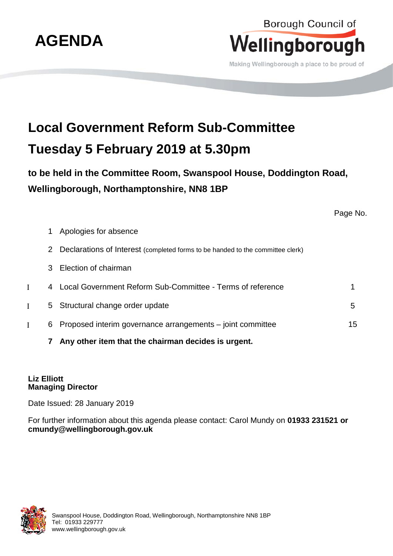

## Borough Council of Wellingborough

Making Wellingborough a place to be proud of

## **Local Government Reform Sub-Committee Tuesday 5 February 2019 at 5.30pm**

**to be held in the Committee Room, Swanspool House, Doddington Road, Wellingborough, Northamptonshire, NN8 1BP**

Page No.

- 1 Apologies for absence 2 Declarations of Interest (completed forms to be handed to the committee clerk)
- 
- 3 Election of chairman
- Ι 4 Local Government Reform Sub-Committee Terms of reference 1
- I 5 Structural change order update 5 5 Structural change order update 5 5 Structural 5 Structural 5 Structural 5
- Ι 6 Proposed interim governance arrangements joint committee 15
	- **7 Any other item that the chairman decides is urgent.**

## **Liz Elliott Managing Director**

Date Issued: 28 January 2019

For further information about this agenda please contact: Carol Mundy on **01933 231521 or cmundy@wellingborough.gov.uk**